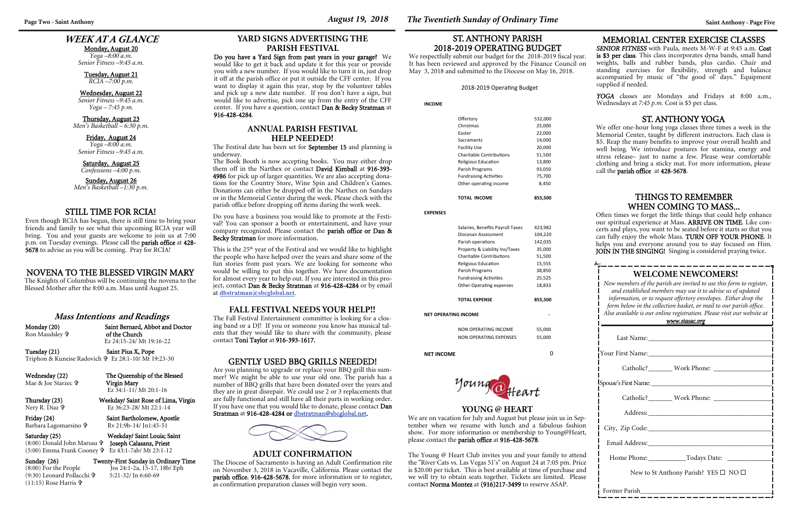## **WEEK AT A GLANCE**

Monday, August 20

*Yoga –8:00 a.m. Senior Fitness –9:45 a.m.* 

Tuesday, August 21 *RCIA –7:00 p.m.* 

Wednesday, August 22 *Senior Fitness –9:45 a.m. Yoga – 7:45 p.m.* 

#### Thursday, August 23 *Men's Basketball – 6:30 p.m.*

Friday, August 24 *Yoga –8:00 a.m.* 

*Senior Fitness –9:45 a.m.* 

Saturday, August 25

*Confessions –4:00 p.m.* 

Sunday, August 26 *Men's Basketball –1:30 p.m.* 

| <b>WELCOME NEWCOMERS!</b><br>New members of the parish are invited to use this form to register,<br>and established members may use it to advise us of updated<br>information, or to request offertory envelopes. Either drop the<br>form below in the collection basket, or mail to our parish office.<br>Also available is our online registration. Please visit our website at<br><u>www.stasac.org</u> |  |  |  |  |
|------------------------------------------------------------------------------------------------------------------------------------------------------------------------------------------------------------------------------------------------------------------------------------------------------------------------------------------------------------------------------------------------------------|--|--|--|--|
|                                                                                                                                                                                                                                                                                                                                                                                                            |  |  |  |  |
|                                                                                                                                                                                                                                                                                                                                                                                                            |  |  |  |  |
|                                                                                                                                                                                                                                                                                                                                                                                                            |  |  |  |  |
|                                                                                                                                                                                                                                                                                                                                                                                                            |  |  |  |  |
|                                                                                                                                                                                                                                                                                                                                                                                                            |  |  |  |  |
|                                                                                                                                                                                                                                                                                                                                                                                                            |  |  |  |  |
|                                                                                                                                                                                                                                                                                                                                                                                                            |  |  |  |  |
|                                                                                                                                                                                                                                                                                                                                                                                                            |  |  |  |  |
|                                                                                                                                                                                                                                                                                                                                                                                                            |  |  |  |  |
| New to St Anthony Parish? YES $\square$ NO $\square$                                                                                                                                                                                                                                                                                                                                                       |  |  |  |  |
|                                                                                                                                                                                                                                                                                                                                                                                                            |  |  |  |  |

Friday (24) Saint Bartholomew, Apostle Rv 21:9b-14/ Jn1:45-51

Sunday (26) Twenty-First Sunday in Ordinary Time<br>  $(8:00)$  For the People Jos 24:1-2a, 15-17, 18b/ Eph  $\int$ os 24:1-2a, 15-17, 18b/ Eph 5:21-32/ Jn 6:60-69

Often times we forget the little things that could help enhance our spiritual experience at Mass. ARRIVE ON TIME. Like concerts and plays, you want to be seated before it starts so that you can fully enjoy the whole Mass. TURN OFF YOUR PHONE. It helps you and everyone around you to stay focused on Him. JOIN IN THE SINGING! Singing is considered praying twice.

| <b>Mass Intentions and Readings</b> |  |
|-------------------------------------|--|
|-------------------------------------|--|

Ron Maudsley **†** 

Monday (20) Saint Bernard, Abbot and Doctor of the Church Ez 24:15-24/ Mt 19:16-22

> We are on vacation for July and August but please join us in September when we resume with lunch and a fabulous fashion show. For more information or membership to Young@Heart, please contact the **parish office** at 916-428-5678.

Tuesday (21) Saint Pius X, Pope Triphon & Kuneise Radovich Ez 28:1-10/ Mt 19:23-30

Wednesday (22) The Queenship of the Blessed Mae & Joe Starzec

 Virgin Mary Ez 34:1-11/ Mt 20:1-16

Thursday (23) Weekday/ Saint Rose of Lima, Virgin Ez 36:23-28/ Mt 22:1-14

Nery R. Diaz

Barbara Lagomarsino

Saturday (25) Weekday/ Saint Louis; Saint

(8:00) Donald John Marsau Joseph Calasanz, Priest

(5:00) Emma Frank Cooney Ez 43:1-7ab/ Mt 23:1-12

(9:30) Leonard Pollacchi

(11:15) Rose Harris

#### MEMORIAL CENTER EXERCISE CLASSES

*SENIOR FITNESS* with Paula, meets M-W-F at 9:45 a.m. Cost is \$3 per class. This class incorporates dyna bands, small hand weights, balls and rubber bands, plus cardio. Chair and standing exercises for flexibility, strength and balance accompanied by music of "the good ol' days." Equipment <sup>s</sup>upplied if needed.

*YOGA* classes are Mondays and Fridays at 8:00 a.m., Wednesdays at *7:45 p.m.* Cost is \$5 per class.

#### THINGS TO REMEMBER WHEN COMING TO MASS...

This is the 25<sup>th</sup> year of the Festival and we would like to highlight the people who have helped over the years and share some of the fun stories from past years. We are looking for someone who would be willing to put this together. We have documentation for almost every year to help out. If you are interested in this project, contact Dan & Becky Stratman at 916-428-4284 or by email

### **YOUNG @ HEART**

We respectfully submit our budget for the 2018-2019 fiscal year. It has been reviewed and approved by the Finance Council on May 3, 2018 and submitted to the Diocese on May 16, 2018.

#### 2018-2019 Operating Budget

**YARD SIGNS ADVERTISING THE PARISH FESTIVAL** Do you have a Yard Sign from past years in your garage? We would like to get it back and update it for this year or provide you with a new number. If you would like to turn it in, just drop it off at the parish office or put it outside the CFF center. If you want to display it again this year, stop by the volunteer tables and pick up a new date number. If you don't have a sign, but would like to advertise, pick one up from the entry of the CFF center. If you have a question, contact Dan & Becky Stratman at

916-428-4284.

GENTLY USED BBQ GRILLS NEEDED! Are you planning to upgrade or replace your BBQ grill this summer? We might be able to use your old one. The parish has a number of BBQ grills that have been donated over the years and they are in great disrepair. We could use 2 or 3 replacements that are fully functional and still have all their parts in working order. If you have one that you would like to donate, please contact Dan

Stratman at 916-428-4284 or dbstratman@sbcglobal.net.

The Young @ Heart Club invites you and your family to attend the "River Cats vs. Las Vegas 51's" on August 24 at 7:05 pm. Price is \$20.00 per ticket. This is best available at time of purchase and we will try to obtain seats together. Tickets are limited. Please contact Norma Montez at (916)217-3499 to reserve ASAP.

**ANNUAL PARISH FESTIVAL HELP NEEDED!** The Festival date has been set for September 15 and planning is

underway.

The Book Booth is now accepting books. You may either drop them off in the Narthex or contact David Kimball at 916-393- 4986 for pick up of larger quantities. We are also accepting donations for the Country Store, Wine Spin and Children's Games. Donations can either be dropped off in the Narthex on Sundays or in the Memorial Center during the week. Please check with the parish office before dropping off items during the work week. Do you have a business you would like to promote at the Festival? You can sponsor a booth or entertainment, and have your company recognized. Please contact the parish office or Dan &

Becky Stratman for more information.

at **dbstratman@sbcglobal.net**.

**INCOME** 

|                      | Offertory                        | 532,000 |  |  |
|----------------------|----------------------------------|---------|--|--|
|                      | Christmas                        | 25,000  |  |  |
|                      | Easter                           | 22,000  |  |  |
|                      | Sacraments                       | 14,000  |  |  |
|                      | <b>Facility Use</b>              | 20,000  |  |  |
|                      | <b>Charitable Contributions</b>  | 51,500  |  |  |
|                      | Religious Education              |         |  |  |
|                      | Parish Programs                  |         |  |  |
|                      | <b>Fundraising Activities</b>    | 75,700  |  |  |
|                      | Other operating income           | 8,450   |  |  |
|                      | TOTAL INCOME                     | 855,500 |  |  |
| <b>EXPENSES</b>      |                                  |         |  |  |
|                      | Salaries, Benefits Payroll Taxes | 423,982 |  |  |
|                      | Diocesan Assessment              | 104,220 |  |  |
|                      | Parish operations                | 142,035 |  |  |
|                      | Property & Liability Ins/Taxes   | 35,000  |  |  |
|                      | <b>Charitable Contributions</b>  | 51,500  |  |  |
|                      | Religious Education              | 15,555  |  |  |
|                      | Parish Programs                  | 38,850  |  |  |
|                      | <b>Fundraising Activities</b>    | 25,525  |  |  |
|                      | <b>Other Operating expenses</b>  | 18,833  |  |  |
|                      | <b>TOTAL EXPENSE</b>             | 855,500 |  |  |
| NET OPERATING INCOME |                                  |         |  |  |
|                      | NON OPERATING INCOME             | 55,000  |  |  |
|                      | <b>NON OPERATING EXPENSES</b>    | 55,000  |  |  |
|                      |                                  |         |  |  |

**NET INCOME** 0



### ST. ANTHONY PARISH 2018-2019 OPERATING BUDGET

**FALL FESTIVAL NEEDS YOUR HELP!!**  The Fall Festival Entertainment committee is looking for a closing band or a DJ! If you or someone you know has musical talents that they would like to share with the community, please

contact Toni Taylor at 916-393-1617.

### STILL TIME FOR RCIA!

Even though RCIA has begun, there is still time to bring your friends and family to see what this upcoming RCIA year will bring. You and your guests are welcome to join us at 7:00 p.m. on Tuesday evenings. Please call the parish office at 428- 5678 to advise us you will be coming. Pray for RCIA!

### **ADULT CONFIRMATION**

The Diocese of Sacramento is having an Adult Confirmation rite on November 3, 2018 in Vacaville, California. Please contact the parish office, 916-428-5678, for more information or to register, as confirmation preparation classes will begin very soon.

#### ST. ANTHONY YOGA

We offer one-hour long yoga classes three times a week in the Memorial Center, taught by different instructors. Each class is \$5. Reap the many benefits to improve your overall health and well being. We introduce postures for stamina, energy and stress release– just to name a few. Please wear comfortable clothing and bring a sticky mat. For more information, please call the parish office at 428-5678.

#### NOVENA TO THE BLESSED VIRGIN MARY

The Knights of Columbus will be continuing the novena to the Blessed Mother after the 8:00 a.m. Mass until August 25.